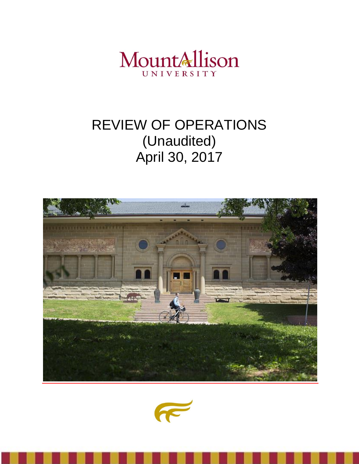

# REVIEW OF OPERATIONS (Unaudited) April 30, 2017



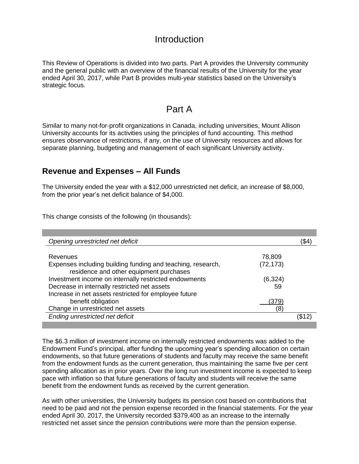### **Introduction**

This Review of Operations is divided into two parts. Part A provides the University community and the general public with an overview of the financial results of the University for the year ended April 30, 2017, while Part B provides multi-year statistics based on the University's strategic focus.

### Part A

Similar to many not-for-profit organizations in Canada, including universities, Mount Allison University accounts for its activities using the principles of fund accounting. This method ensures observance of restrictions, if any, on the use of University resources and allows for separate planning, budgeting and management of each significant University activity.

#### **Revenue and Expenses – All Funds**

The University ended the year with a \$12,000 unrestricted net deficit, an increase of \$8,000, from the prior year's net deficit balance of \$4,000.

This change consists of the following (in thousands):

| Opening unrestricted net deficit                            |           | (\$4  |
|-------------------------------------------------------------|-----------|-------|
|                                                             |           |       |
| Revenues                                                    | 78,809    |       |
| Expenses including building funding and teaching, research, | (72, 173) |       |
| residence and other equipment purchases                     |           |       |
| Investment income on internally restricted endowments       | (6, 324)  |       |
| Decrease in internally restricted net assets                | 59        |       |
| Increase in net assets restricted for employee future       |           |       |
| benefit obligation                                          | (379)     |       |
| Change in unrestricted net assets                           | (8)       |       |
| Ending unrestricted net deficit                             |           | (\$12 |
|                                                             |           |       |

The \$6.3 million of investment income on internally restricted endowments was added to the Endowment Fund's principal, after funding the upcoming year's spending allocation on certain endowments, so that future generations of students and faculty may receive the same benefit from the endowment funds as the current generation, thus maintaining the same five per cent spending allocation as in prior years. Over the long run investment income is expected to keep pace with inflation so that future generations of faculty and students will receive the same benefit from the endowment funds as received by the current generation.

As with other universities, the University budgets its pension cost based on contributions that need to be paid and not the pension expense recorded in the financial statements. For the year ended April 30, 2017, the University recorded \$379,400 as an increase to the internally restricted net asset since the pension contributions were more than the pension expense.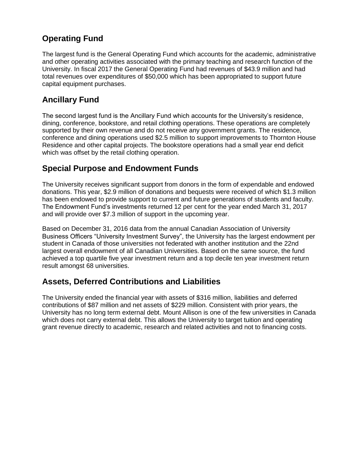### **Operating Fund**

The largest fund is the General Operating Fund which accounts for the academic, administrative and other operating activities associated with the primary teaching and research function of the University. In fiscal 2017 the General Operating Fund had revenues of \$43.9 million and had total revenues over expenditures of \$50,000 which has been appropriated to support future capital equipment purchases.

### **Ancillary Fund**

The second largest fund is the Ancillary Fund which accounts for the University's residence, dining, conference, bookstore, and retail clothing operations. These operations are completely supported by their own revenue and do not receive any government grants. The residence, conference and dining operations used \$2.5 million to support improvements to Thornton House Residence and other capital projects. The bookstore operations had a small year end deficit which was offset by the retail clothing operation.

### **Special Purpose and Endowment Funds**

The University receives significant support from donors in the form of expendable and endowed donations. This year, \$2.9 million of donations and bequests were received of which \$1.3 million has been endowed to provide support to current and future generations of students and faculty. The Endowment Fund's investments returned 12 per cent for the year ended March 31, 2017 and will provide over \$7.3 million of support in the upcoming year.

Based on December 31, 2016 data from the annual Canadian Association of University Business Officers "University Investment Survey", the University has the largest endowment per student in Canada of those universities not federated with another institution and the 22nd largest overall endowment of all Canadian Universities. Based on the same source, the fund achieved a top quartile five year investment return and a top decile ten year investment return result amongst 68 universities.

### **Assets, Deferred Contributions and Liabilities**

The University ended the financial year with assets of \$316 million, liabilities and deferred contributions of \$87 million and net assets of \$229 million. Consistent with prior years, the University has no long term external debt. Mount Allison is one of the few universities in Canada which does not carry external debt. This allows the University to target tuition and operating grant revenue directly to academic, research and related activities and not to financing costs.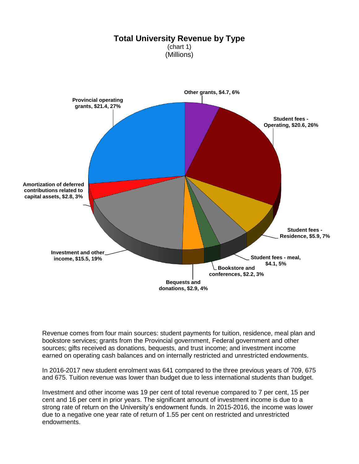

Revenue comes from four main sources: student payments for tuition, residence, meal plan and bookstore services; grants from the Provincial government, Federal government and other sources; gifts received as donations, bequests, and trust income; and investment income earned on operating cash balances and on internally restricted and unrestricted endowments.

In 2016-2017 new student enrolment was 641 compared to the three previous years of 709, 675 and 675. Tuition revenue was lower than budget due to less international students than budget.

Investment and other income was 19 per cent of total revenue compared to 7 per cent, 15 per cent and 16 per cent in prior years. The significant amount of investment income is due to a strong rate of return on the University's endowment funds. In 2015-2016, the income was lower due to a negative one year rate of return of 1.55 per cent on restricted and unrestricted endowments.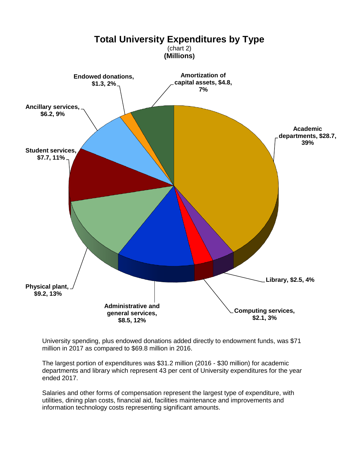

University spending, plus endowed donations added directly to endowment funds, was \$71 million in 2017 as compared to \$69.8 million in 2016.

The largest portion of expenditures was \$31.2 million (2016 - \$30 million) for academic departments and library which represent 43 per cent of University expenditures for the year ended 2017.

Salaries and other forms of compensation represent the largest type of expenditure, with utilities, dining plan costs, financial aid, facilities maintenance and improvements and information technology costs representing significant amounts.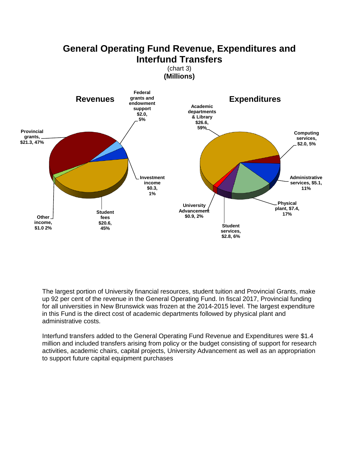### **General Operating Fund Revenue, Expenditures and Interfund Transfers**

(chart 3) **(Millions)** 



The largest portion of University financial resources, student tuition and Provincial Grants, make up 92 per cent of the revenue in the General Operating Fund. In fiscal 2017, Provincial funding for all universities in New Brunswick was frozen at the 2014-2015 level. The largest expenditure in this Fund is the direct cost of academic departments followed by physical plant and administrative costs.

Interfund transfers added to the General Operating Fund Revenue and Expenditures were \$1.4 million and included transfers arising from policy or the budget consisting of support for research activities, academic chairs, capital projects, University Advancement as well as an appropriation to support future capital equipment purchases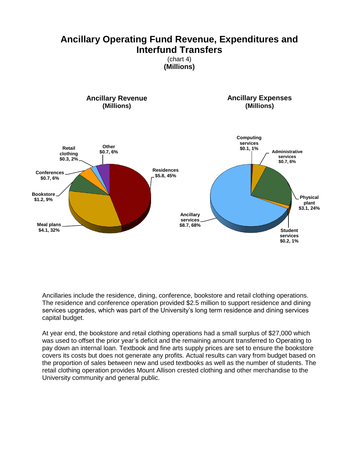### **Ancillary Operating Fund Revenue, Expenditures and Interfund Transfers**

(chart 4) **(Millions)** 

**Residences \$5.8, 45% Meal plans \$4.1, 32% Bookstore \$1.2, 9% Conferences \$0.7, 6% Retail clothing \$0.3, 2% Other \$0.7, 6% Ancillary Revenue (Millions) Computing services \$0.1, 1% Administrative services \$0.7, 6% Physical plant \$3.1, 24% Student services \$0.2, 1% Ancillary services \$8.7, 68% Ancillary Expenses (Millions)**

Ancillaries include the residence, dining, conference, bookstore and retail clothing operations. The residence and conference operation provided \$2.5 million to support residence and dining services upgrades, which was part of the University's long term residence and dining services capital budget.

At year end, the bookstore and retail clothing operations had a small surplus of \$27,000 which was used to offset the prior year's deficit and the remaining amount transferred to Operating to pay down an internal loan. Textbook and fine arts supply prices are set to ensure the bookstore covers its costs but does not generate any profits. Actual results can vary from budget based on the proportion of sales between new and used textbooks as well as the number of students. The retail clothing operation provides Mount Allison crested clothing and other merchandise to the University community and general public.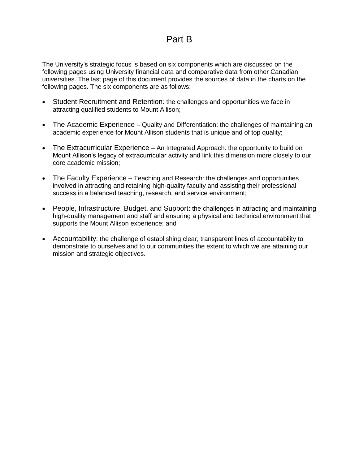### Part B

The University's strategic focus is based on six components which are discussed on the following pages using University financial data and comparative data from other Canadian universities. The last page of this document provides the sources of data in the charts on the following pages. The six components are as follows:

- Student Recruitment and Retention: the challenges and opportunities we face in attracting qualified students to Mount Allison;
- The Academic Experience Quality and Differentiation: the challenges of maintaining an academic experience for Mount Allison students that is unique and of top quality;
- The Extracurricular Experience An Integrated Approach: the opportunity to build on Mount Allison's legacy of extracurricular activity and link this dimension more closely to our core academic mission;
- The Faculty Experience Teaching and Research: the challenges and opportunities involved in attracting and retaining high-quality faculty and assisting their professional success in a balanced teaching, research, and service environment;
- People, Infrastructure, Budget, and Support: the challenges in attracting and maintaining high-quality management and staff and ensuring a physical and technical environment that supports the Mount Allison experience; and
- Accountability: the challenge of establishing clear, transparent lines of accountability to demonstrate to ourselves and to our communities the extent to which we are attaining our mission and strategic objectives.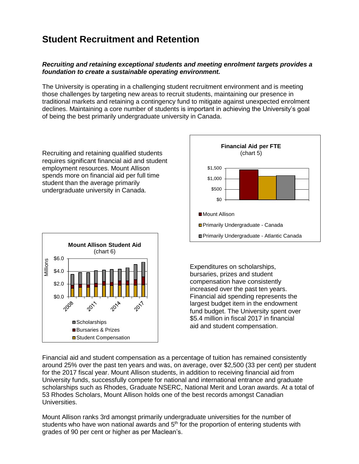## **Student Recruitment and Retention**

#### *Recruiting and retaining exceptional students and meeting enrolment targets provides a foundation to create a sustainable operating environment.*

The University is operating in a challenging student recruitment environment and is meeting those challenges by targeting new areas to recruit students, maintaining our presence in traditional markets and retaining a contingency fund to mitigate against unexpected enrolment declines. Maintaining a core number of students is important in achieving the University's goal of being the best primarily undergraduate university in Canada.

Recruiting and retaining qualified students requires significant financial aid and student employment resources. Mount Allison spends more on financial aid per full time student than the average primarily undergraduate university in Canada.





Expenditures on scholarships, bursaries, prizes and student compensation have consistently increased over the past ten years. Financial aid spending represents the largest budget item in the endowment fund budget. The University spent over \$5.4 million in fiscal 2017 in financial aid and student compensation.

Financial aid and student compensation as a percentage of tuition has remained consistently around 25% over the past ten years and was, on average, over \$2,500 (33 per cent) per student for the 2017 fiscal year. Mount Allison students, in addition to receiving financial aid from University funds, successfully compete for national and international entrance and graduate scholarships such as Rhodes, Graduate NSERC, National Merit and Loran awards. At a total of 53 Rhodes Scholars, Mount Allison holds one of the best records amongst Canadian Universities.

Mount Allison ranks 3rd amongst primarily undergraduate universities for the number of students who have won national awards and  $5<sup>th</sup>$  for the proportion of entering students with grades of 90 per cent or higher as per Maclean's.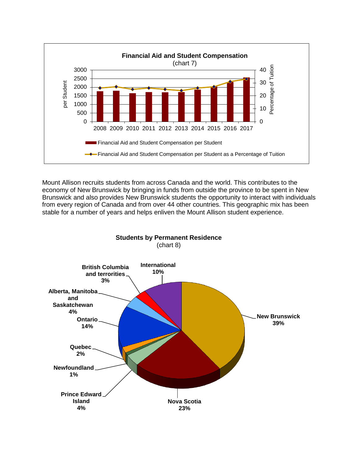

Mount Allison recruits students from across Canada and the world. This contributes to the economy of New Brunswick by bringing in funds from outside the province to be spent in New Brunswick and also provides New Brunswick students the opportunity to interact with individuals from every region of Canada and from over 44 other countries. This geographic mix has been stable for a number of years and helps enliven the Mount Allison student experience.

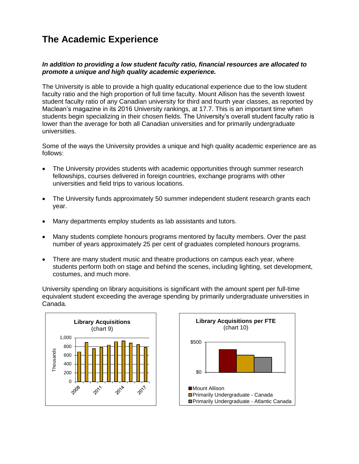# **The Academic Experience**

#### *In addition to providing a low student faculty ratio, financial resources are allocated to promote a unique and high quality academic experience.*

The University is able to provide a high quality educational experience due to the low student faculty ratio and the high proportion of full time faculty. Mount Allison has the seventh lowest student faculty ratio of any Canadian university for third and fourth year classes, as reported by Maclean's magazine in its 2016 University rankings, at 17.7. This is an important time when students begin specializing in their chosen fields. The University's overall student faculty ratio is lower than the average for both all Canadian universities and for primarily undergraduate universities.

Some of the ways the University provides a unique and high quality academic experience are as follows:

- The University provides students with academic opportunities through summer research fellowships, courses delivered in foreign countries, exchange programs with other universities and field trips to various locations.
- The University funds approximately 50 summer independent student research grants each year.
- Many departments employ students as lab assistants and tutors.
- Many students complete honours programs mentored by faculty members. Over the past number of years approximately 25 per cent of graduates completed honours programs.
- There are many student music and theatre productions on campus each year, where students perform both on stage and behind the scenes, including lighting, set development, costumes, and much more.

University spending on library acquisitions is significant with the amount spent per full-time equivalent student exceeding the average spending by primarily undergraduate universities in Canada.



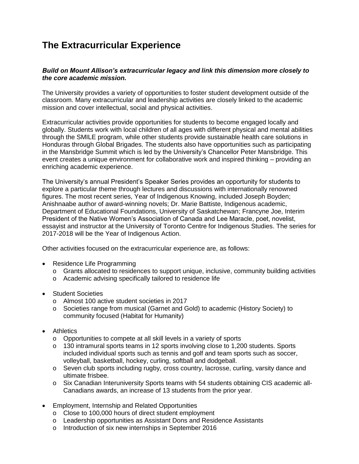## **The Extracurricular Experience**

#### *Build on Mount Allison's extracurricular legacy and link this dimension more closely to the core academic mission.*

The University provides a variety of opportunities to foster student development outside of the classroom. Many extracurricular and leadership activities are closely linked to the academic mission and cover intellectual, social and physical activities.

Extracurricular activities provide opportunities for students to become engaged locally and globally. Students work with local children of all ages with different physical and mental abilities through the SMILE program, while other students provide sustainable health care solutions in Honduras through Global Brigades. The students also have opportunities such as participating in the Mansbridge Summit which is led by the University's Chancellor Peter Mansbridge. This event creates a unique environment for collaborative work and inspired thinking – providing an enriching academic experience.

The University's annual President's Speaker Series provides an opportunity for students to explore a particular theme through lectures and discussions with internationally renowned figures. The most recent series, Year of Indigenous Knowing, included Joseph Boyden; Anishnaabe author of award-winning novels; Dr. Marie Battiste, Indigenous academic, Department of Educational Foundations, University of Saskatchewan; Francyne Joe, Interim President of the Native Women's Association of Canada and Lee Maracle, poet, novelist, essayist and instructor at the University of Toronto Centre for Indigenous Studies. The series for 2017-2018 will be the Year of Indigenous Action.

Other activities focused on the extracurricular experience are, as follows:

- Residence Life Programming
	- o Grants allocated to residences to support unique, inclusive, community building activities
	- o Academic advising specifically tailored to residence life
- Student Societies
	- o Almost 100 active student societies in 2017
	- o Societies range from musical (Garnet and Gold) to academic (History Society) to community focused (Habitat for Humanity)
- Athletics
	- o Opportunities to compete at all skill levels in a variety of sports
	- o 130 intramural sports teams in 12 sports involving close to 1,200 students. Sports included individual sports such as tennis and golf and team sports such as soccer, volleyball, basketball, hockey, curling, softball and dodgeball.
	- o Seven club sports including rugby, cross country, lacrosse, curling, varsity dance and ultimate frisbee.
	- o Six Canadian Interuniversity Sports teams with 54 students obtaining CIS academic all-Canadians awards, an increase of 13 students from the prior year.
- Employment, Internship and Related Opportunities
	- o Close to 100,000 hours of direct student employment
	- o Leadership opportunities as Assistant Dons and Residence Assistants
	- o Introduction of six new internships in September 2016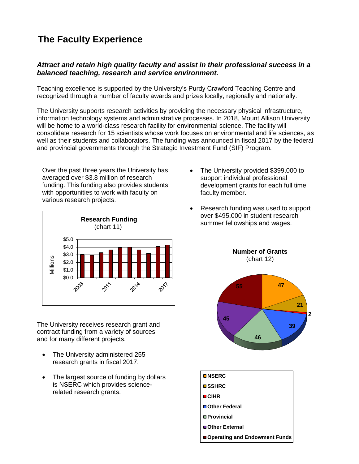# **The Faculty Experience**

#### *Attract and retain high quality faculty and assist in their professional success in a balanced teaching, research and service environment.*

Teaching excellence is supported by the University's Purdy Crawford Teaching Centre and recognized through a number of faculty awards and prizes locally, regionally and nationally.

The University supports research activities by providing the necessary physical infrastructure, information technology systems and administrative processes. In 2018, Mount Allison University will be home to a world-class research facility for environmental science. The facility will consolidate research for 15 scientists whose work focuses on environmental and life sciences, as well as their students and collaborators. The funding was announced in fiscal 2017 by the federal and provincial governments through the Strategic Investment Fund (SIF) Program.

Over the past three years the University has averaged over \$3.8 million of research funding. This funding also provides students with opportunities to work with faculty on various research projects.



The University receives research grant and contract funding from a variety of sources and for many different projects.

- The University administered 255 research grants in fiscal 2017.
- The largest source of funding by dollars is NSERC which provides sciencerelated research grants.
- The University provided \$399,000 to support individual professional development grants for each full time faculty member.
- Research funding was used to support over \$495,000 in student research summer fellowships and wages.



**Number of Grants**

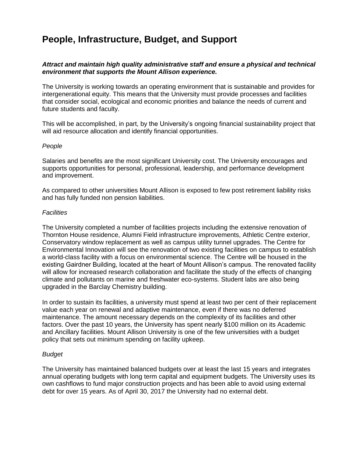### **People, Infrastructure, Budget, and Support**

#### *Attract and maintain high quality administrative staff and ensure a physical and technical environment that supports the Mount Allison experience.*

The University is working towards an operating environment that is sustainable and provides for intergenerational equity. This means that the University must provide processes and facilities that consider social, ecological and economic priorities and balance the needs of current and future students and faculty.

This will be accomplished, in part, by the University's ongoing financial sustainability project that will aid resource allocation and identify financial opportunities.

#### *People*

Salaries and benefits are the most significant University cost. The University encourages and supports opportunities for personal, professional, leadership, and performance development and improvement.

As compared to other universities Mount Allison is exposed to few post retirement liability risks and has fully funded non pension liabilities.

#### *Facilities*

The University completed a number of facilities projects including the extensive renovation of Thornton House residence, Alumni Field infrastructure improvements, Athletic Centre exterior, Conservatory window replacement as well as campus utility tunnel upgrades. The Centre for Environmental Innovation will see the renovation of two existing facilities on campus to establish a world-class facility with a focus on environmental science. The Centre will be housed in the existing Gairdner Building, located at the heart of Mount Allison's campus. The renovated facility will allow for increased research collaboration and facilitate the study of the effects of changing climate and pollutants on marine and freshwater eco-systems. Student labs are also being upgraded in the Barclay Chemistry building.

In order to sustain its facilities, a university must spend at least two per cent of their replacement value each year on renewal and adaptive maintenance, even if there was no deferred maintenance. The amount necessary depends on the complexity of its facilities and other factors. Over the past 10 years, the University has spent nearly \$100 million on its Academic and Ancillary facilities. Mount Allison University is one of the few universities with a budget policy that sets out minimum spending on facility upkeep.

#### *Budget*

The University has maintained balanced budgets over at least the last 15 years and integrates annual operating budgets with long term capital and equipment budgets. The University uses its own cashflows to fund major construction projects and has been able to avoid using external debt for over 15 years. As of April 30, 2017 the University had no external debt.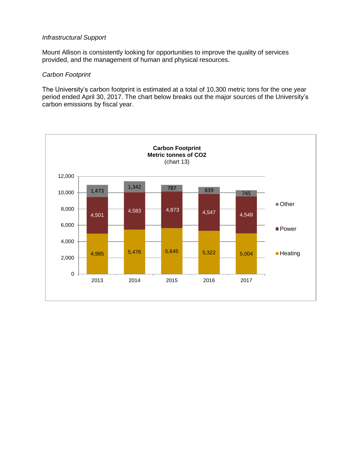#### *Infrastructural Support*

Mount Allison is consistently looking for opportunities to improve the quality of services provided, and the management of human and physical resources.

#### *Carbon Footprint*

The University's carbon footprint is estimated at a total of 10,300 metric tons for the one year period ended April 30, 2017. The chart below breaks out the major sources of the University's carbon emissions by fiscal year.

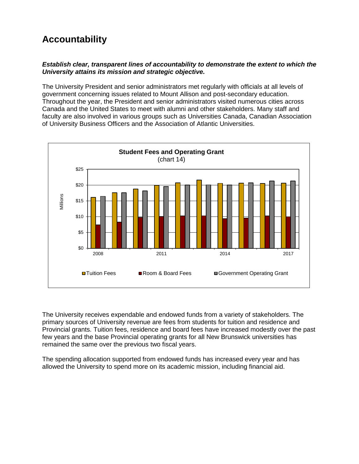# **Accountability**

#### *Establish clear, transparent lines of accountability to demonstrate the extent to which the University attains its mission and strategic objective.*

The University President and senior administrators met regularly with officials at all levels of government concerning issues related to Mount Allison and post-secondary education. Throughout the year, the President and senior administrators visited numerous cities across Canada and the United States to meet with alumni and other stakeholders. Many staff and faculty are also involved in various groups such as Universities Canada, Canadian Association of University Business Officers and the Association of Atlantic Universities.



The University receives expendable and endowed funds from a variety of stakeholders. The primary sources of University revenue are fees from students for tuition and residence and Provincial grants. Tuition fees, residence and board fees have increased modestly over the past few years and the base Provincial operating grants for all New Brunswick universities has remained the same over the previous two fiscal years.

The spending allocation supported from endowed funds has increased every year and has allowed the University to spend more on its academic mission, including financial aid.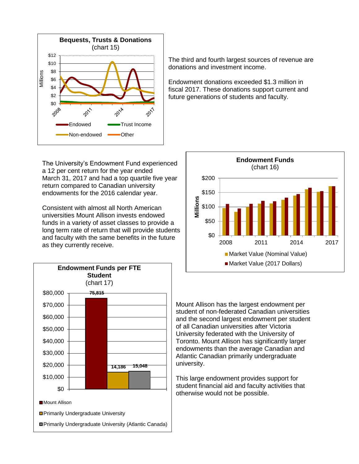

The University's Endowment Fund experienced a 12 per cent return for the year ended March 31, 2017 and had a top quartile five year return compared to Canadian university endowments for the 2016 calendar year.

Consistent with almost all North American universities Mount Allison invests endowed funds in a variety of asset classes to provide a long term rate of return that will provide students and faculty with the same benefits in the future as they currently receive.



The third and fourth largest sources of revenue are donations and investment income.

Endowment donations exceeded \$1.3 million in fiscal 2017. These donations support current and future generations of students and faculty.



Mount Allison has the largest endowment per student of non-federated Canadian universities and the second largest endowment per student of all Canadian universities after Victoria University federated with the University of Toronto. Mount Allison has significantly larger endowments than the average Canadian and Atlantic Canadian primarily undergraduate university.

This large endowment provides support for student financial aid and faculty activities that otherwise would not be possible.